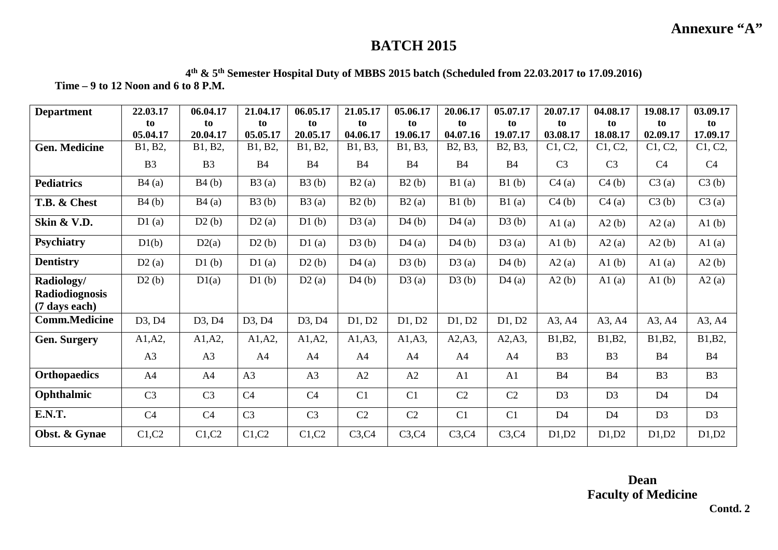## **BATCH 2015**

**4th & 5th Semester Hospital Duty of MBBS 2015 batch (Scheduled from 22.03.2017 to 17.09.2016) Time – 9 to 12 Noon and 6 to 8 P.M.** 

| <b>Department</b>               | 22.03.17       | 06.04.17       | 21.04.17       | 06.05.17       | 21.05.17  | 05.06.17  | 20.06.17                          | 05.07.17       | 20.07.17       | 04.08.17       | 19.08.17       | 03.09.17       |
|---------------------------------|----------------|----------------|----------------|----------------|-----------|-----------|-----------------------------------|----------------|----------------|----------------|----------------|----------------|
|                                 | to             | to             | to             | to             | to        | to        | to                                | to             | to             | to             | t <sub>o</sub> | to             |
|                                 | 05.04.17       | 20.04.17       | 05.05.17       | 20.05.17       | 04.06.17  | 19.06.17  | 04.07.16                          | 19.07.17       | 03.08.17       | 18.08.17       | 02.09.17       | 17.09.17       |
| <b>Gen. Medicine</b>            | B1, B2,        | B1, B2,        | B1, B2,        | B1, B2,        | B1, B3,   | B1, B3,   | B <sub>2</sub> , B <sub>3</sub> , | B2, B3,        | C1, C2,        | C1, C2,        | C1, C2,        | C1, C2,        |
|                                 | B <sub>3</sub> | B <sub>3</sub> | <b>B4</b>      | <b>B4</b>      | <b>B4</b> | <b>B4</b> | B <sub>4</sub>                    | B <sub>4</sub> | C <sub>3</sub> | C <sub>3</sub> | C <sub>4</sub> | C <sub>4</sub> |
| <b>Pediatrics</b>               | B4(a)          | B4(b)          | B3(a)          | B3(b)          | B2(a)     | B2(b)     | B1(a)                             | B1(b)          | C4(a)          | C4(b)          | C3(a)          | C3(b)          |
| T.B. & Chest                    | B4(b)          | B4(a)          | B3(b)          | B3(a)          | B2(b)     | B2(a)     | B1(b)                             | B1(a)          | C4(b)          | C4(a)          | C3(b)          | C3(a)          |
| Skin & V.D.                     | D1(a)          | D2(b)          | D2(a)          | D1(b)          | D3(a)     | D4(b)     | D4(a)                             | D3(b)          | A1 $(a)$       | A2(b)          | A2(a)          | A1(b)          |
| <b>Psychiatry</b>               | D1(b)          | D2(a)          | D2(b)          | D1(a)          | D3(b)     | D4(a)     | D4(b)                             | D3(a)          | A1 $(b)$       | A2(a)          | A2(b)          | A1(a)          |
| <b>Dentistry</b>                | D2(a)          | D1(b)          | D1(a)          | D2(b)          | D4(a)     | D3(b)     | D3(a)                             | D4(b)          | A2(a)          | A1(b)          | A1 $(a)$       | A2(b)          |
| Radiology/                      | D2(b)          | D1(a)          | D1(b)          | D2(a)          | D4(b)     | D3(a)     | D3(b)                             | D4(a)          | A2(b)          | A1 $(a)$       | A1(b)          | A2(a)          |
| Radiodiognosis<br>(7 days each) |                |                |                |                |           |           |                                   |                |                |                |                |                |
| <b>Comm.Medicine</b>            | D3, D4         | D3, D4         | D3, D4         | D3, D4         | D1, D2    | D1, D2    | D1, D2                            | D1, D2         | A3, A4         | A3, A4         | A3, A4         | A3, A4         |
| <b>Gen. Surgery</b>             | A1, A2,        | A1, A2,        | A1, A2,        | A1, A2,        | A1, A3,   | A1, A3,   | A2, A3,                           | A2, A3,        | B1, B2,        | B1, B2,        | B1, B2,        | B1, B2,        |
|                                 | A <sub>3</sub> | A <sub>3</sub> | A <sub>4</sub> | A <sub>4</sub> | A4        | A4        | A4                                | A <sub>4</sub> | B <sub>3</sub> | B <sub>3</sub> | <b>B4</b>      | <b>B4</b>      |
| <b>Orthopaedics</b>             | A <sub>4</sub> | A <sub>4</sub> | A <sub>3</sub> | A <sub>3</sub> | A2        | A2        | A <sub>1</sub>                    | A1             | <b>B4</b>      | <b>B4</b>      | B <sub>3</sub> | B <sub>3</sub> |
| Ophthalmic                      | C <sub>3</sub> | C <sub>3</sub> | C <sub>4</sub> | C <sub>4</sub> | C1        | C1        | C <sub>2</sub>                    | C <sub>2</sub> | D <sub>3</sub> | D3             | D <sub>4</sub> | D <sub>4</sub> |
| E.N.T.                          | C <sub>4</sub> | C <sub>4</sub> | C <sub>3</sub> | C <sub>3</sub> | C2        | C2        | C <sub>1</sub>                    | C <sub>1</sub> | D <sub>4</sub> | D <sub>4</sub> | D <sub>3</sub> | D <sub>3</sub> |
| Obst. & Gynae                   | C1, C2         | C1, C2         | C1, C2         | C1, C2         | C3, C4    | C3, C4    | C3, C4                            | C3, C4         | D1,D2          | D1,D2          | D1,D2          | D1,D2          |

## **Contd. 2**

**Annexure "A"**